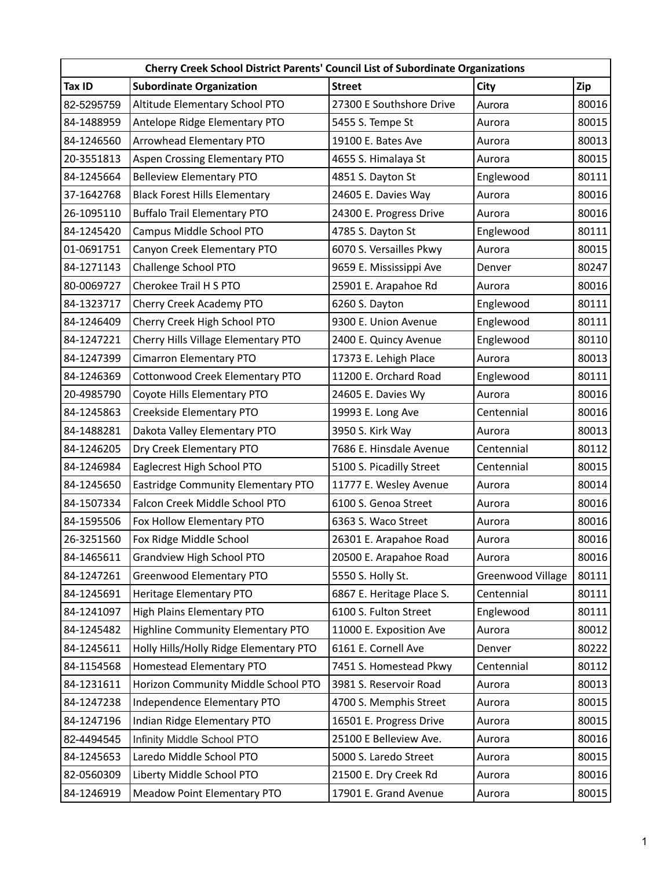| Cherry Creek School District Parents' Council List of Subordinate Organizations |                                        |                           |                   |       |  |  |  |
|---------------------------------------------------------------------------------|----------------------------------------|---------------------------|-------------------|-------|--|--|--|
| Tax ID                                                                          | <b>Subordinate Organization</b>        | <b>Street</b>             | City              | Zip   |  |  |  |
| 82-5295759                                                                      | Altitude Elementary School PTO         | 27300 E Southshore Drive  | Aurora            | 80016 |  |  |  |
| 84-1488959                                                                      | Antelope Ridge Elementary PTO          | 5455 S. Tempe St          | Aurora            | 80015 |  |  |  |
| 84-1246560                                                                      | Arrowhead Elementary PTO               | 19100 E. Bates Ave        | Aurora            | 80013 |  |  |  |
| 20-3551813                                                                      | Aspen Crossing Elementary PTO          | 4655 S. Himalaya St       | Aurora            | 80015 |  |  |  |
| 84-1245664                                                                      | <b>Belleview Elementary PTO</b>        | 4851 S. Dayton St         | Englewood         | 80111 |  |  |  |
| 37-1642768                                                                      | <b>Black Forest Hills Elementary</b>   | 24605 E. Davies Way       | Aurora            | 80016 |  |  |  |
| 26-1095110                                                                      | <b>Buffalo Trail Elementary PTO</b>    | 24300 E. Progress Drive   | Aurora            | 80016 |  |  |  |
| 84-1245420                                                                      | Campus Middle School PTO               | 4785 S. Dayton St         | Englewood         | 80111 |  |  |  |
| 01-0691751                                                                      | Canyon Creek Elementary PTO            | 6070 S. Versailles Pkwy   | Aurora            | 80015 |  |  |  |
| 84-1271143                                                                      | Challenge School PTO                   | 9659 E. Mississippi Ave   | Denver            | 80247 |  |  |  |
| 80-0069727                                                                      | Cherokee Trail H S PTO                 | 25901 E. Arapahoe Rd      | Aurora            | 80016 |  |  |  |
| 84-1323717                                                                      | Cherry Creek Academy PTO               | 6260 S. Dayton            | Englewood         | 80111 |  |  |  |
| 84-1246409                                                                      | Cherry Creek High School PTO           | 9300 E. Union Avenue      | Englewood         | 80111 |  |  |  |
| 84-1247221                                                                      | Cherry Hills Village Elementary PTO    | 2400 E. Quincy Avenue     | Englewood         | 80110 |  |  |  |
| 84-1247399                                                                      | Cimarron Elementary PTO                | 17373 E. Lehigh Place     | Aurora            | 80013 |  |  |  |
| 84-1246369                                                                      | Cottonwood Creek Elementary PTO        | 11200 E. Orchard Road     | Englewood         | 80111 |  |  |  |
| 20-4985790                                                                      | Coyote Hills Elementary PTO            | 24605 E. Davies Wy        | Aurora            | 80016 |  |  |  |
| 84-1245863                                                                      | Creekside Elementary PTO               | 19993 E. Long Ave         | Centennial        | 80016 |  |  |  |
| 84-1488281                                                                      | Dakota Valley Elementary PTO           | 3950 S. Kirk Way          | Aurora            | 80013 |  |  |  |
| 84-1246205                                                                      | Dry Creek Elementary PTO               | 7686 E. Hinsdale Avenue   | Centennial        | 80112 |  |  |  |
| 84-1246984                                                                      | Eaglecrest High School PTO             | 5100 S. Picadilly Street  | Centennial        | 80015 |  |  |  |
| 84-1245650                                                                      | Eastridge Community Elementary PTO     | 11777 E. Wesley Avenue    | Aurora            | 80014 |  |  |  |
| 84-1507334                                                                      | Falcon Creek Middle School PTO         | 6100 S. Genoa Street      | Aurora            | 80016 |  |  |  |
| 84-1595506                                                                      | Fox Hollow Elementary PTO              | 6363 S. Waco Street       | Aurora            | 80016 |  |  |  |
| 26-3251560                                                                      | Fox Ridge Middle School                | 26301 E. Arapahoe Road    | Aurora            | 80016 |  |  |  |
| 84-1465611                                                                      | Grandview High School PTO              | 20500 E. Arapahoe Road    | Aurora            | 80016 |  |  |  |
| 84-1247261                                                                      | Greenwood Elementary PTO               | 5550 S. Holly St.         | Greenwood Village | 80111 |  |  |  |
| 84-1245691                                                                      | Heritage Elementary PTO                | 6867 E. Heritage Place S. | Centennial        | 80111 |  |  |  |
| 84-1241097                                                                      | High Plains Elementary PTO             | 6100 S. Fulton Street     | Englewood         | 80111 |  |  |  |
| 84-1245482                                                                      | Highline Community Elementary PTO      | 11000 E. Exposition Ave   | Aurora            | 80012 |  |  |  |
| 84-1245611                                                                      | Holly Hills/Holly Ridge Elementary PTO | 6161 E. Cornell Ave       | Denver            | 80222 |  |  |  |
| 84-1154568                                                                      | Homestead Elementary PTO               | 7451 S. Homestead Pkwy    | Centennial        | 80112 |  |  |  |
| 84-1231611                                                                      | Horizon Community Middle School PTO    | 3981 S. Reservoir Road    | Aurora            | 80013 |  |  |  |
| 84-1247238                                                                      | Independence Elementary PTO            | 4700 S. Memphis Street    | Aurora            | 80015 |  |  |  |
| 84-1247196                                                                      | Indian Ridge Elementary PTO            | 16501 E. Progress Drive   | Aurora            | 80015 |  |  |  |
| 82-4494545                                                                      | Infinity Middle School PTO             | 25100 E Belleview Ave.    | Aurora            | 80016 |  |  |  |
| 84-1245653                                                                      | Laredo Middle School PTO               | 5000 S. Laredo Street     | Aurora            | 80015 |  |  |  |
| 82-0560309                                                                      | Liberty Middle School PTO              | 21500 E. Dry Creek Rd     | Aurora            | 80016 |  |  |  |
| 84-1246919                                                                      | Meadow Point Elementary PTO            | 17901 E. Grand Avenue     | Aurora            | 80015 |  |  |  |